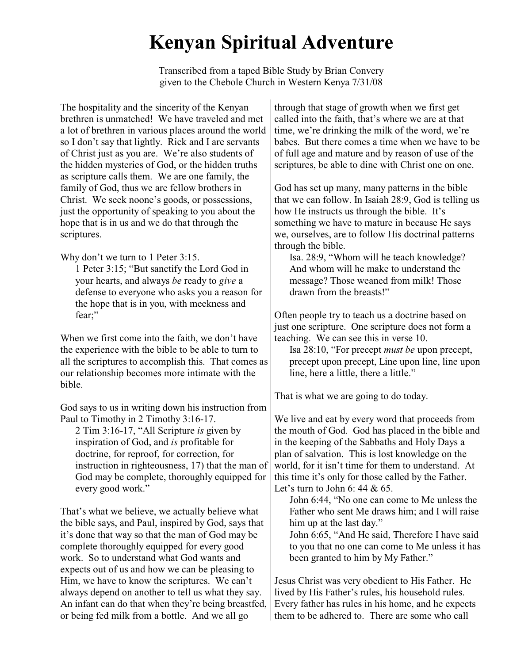## **Kenyan Spiritual Adventure**

Transcribed from a taped Bible Study by Brian Convery given to the Chebole Church in Western Kenya 7/31/08

The hospitality and the sincerity of the Kenyan brethren is unmatched! We have traveled and met a lot of brethren in various places around the world so I don't say that lightly. Rick and I are servants of Christ just as you are. We're also students of the hidden mysteries of God, or the hidden truths as scripture calls them. We are one family, the family of God, thus we are fellow brothers in Christ. We seek noone's goods, or possessions, just the opportunity of speaking to you about the hope that is in us and we do that through the scriptures.

Why don't we turn to 1 Peter 3:15.

1 Peter 3:15; "But sanctify the Lord God in your hearts, and always *be* ready to *give* a defense to everyone who asks you a reason for the hope that is in you, with meekness and fear;"

When we first come into the faith, we don't have the experience with the bible to be able to turn to all the scriptures to accomplish this. That comes as our relationship becomes more intimate with the bible.

God says to us in writing down his instruction from Paul to Timothy in 2 Timothy 3:16-17.

2 Tim 3:16-17, "All Scripture *is* given by inspiration of God, and *is* profitable for doctrine, for reproof, for correction, for instruction in righteousness, 17) that the man of God may be complete, thoroughly equipped for every good work."

That's what we believe, we actually believe what the bible says, and Paul, inspired by God, says that it's done that way so that the man of God may be complete thoroughly equipped for every good work. So to understand what God wants and expects out of us and how we can be pleasing to Him, we have to know the scriptures. We can't always depend on another to tell us what they say. An infant can do that when they're being breastfed, or being fed milk from a bottle. And we all go

through that stage of growth when we first get called into the faith, that's where we are at that time, we're drinking the milk of the word, we're babes. But there comes a time when we have to be of full age and mature and by reason of use of the scriptures, be able to dine with Christ one on one.

God has set up many, many patterns in the bible that we can follow. In Isaiah 28:9, God is telling us how He instructs us through the bible. It's something we have to mature in because He says we, ourselves, are to follow His doctrinal patterns through the bible.

Isa. 28:9, "Whom will he teach knowledge? And whom will he make to understand the message? Those weaned from milk! Those drawn from the breasts!"

Often people try to teach us a doctrine based on just one scripture. One scripture does not form a teaching. We can see this in verse 10.

Isa 28:10, "For precept *must be* upon precept, precept upon precept, Line upon line, line upon line, here a little, there a little."

That is what we are going to do today.

We live and eat by every word that proceeds from the mouth of God. God has placed in the bible and in the keeping of the Sabbaths and Holy Days a plan of salvation. This is lost knowledge on the world, for it isn't time for them to understand. At this time it's only for those called by the Father. Let's turn to John 6: 44  $& 65.$ 

John 6:44, "No one can come to Me unless the Father who sent Me draws him; and I will raise him up at the last day."

John 6:65, "And He said, Therefore I have said to you that no one can come to Me unless it has been granted to him by My Father."

Jesus Christ was very obedient to His Father. He lived by His Father's rules, his household rules. Every father has rules in his home, and he expects them to be adhered to. There are some who call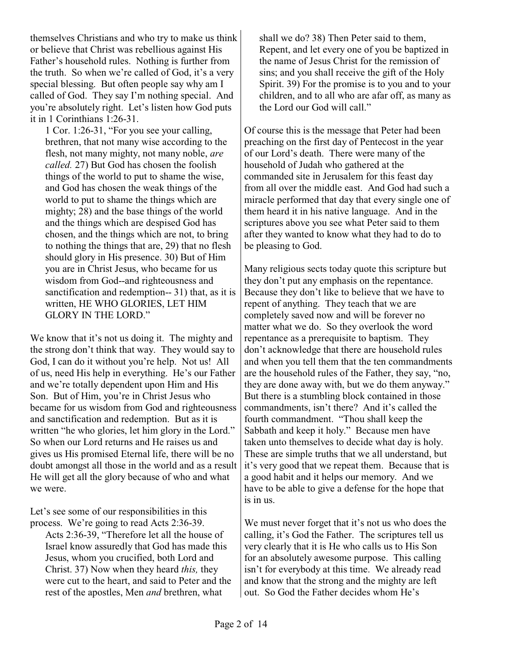themselves Christians and who try to make us think or believe that Christ was rebellious against His Father's household rules. Nothing is further from the truth. So when we're called of God, it's a very special blessing. But often people say why am I called of God. They say I'm nothing special. And you're absolutely right. Let's listen how God puts it in 1 Corinthians 1:26-31.

1 Cor. 1:26-31, "For you see your calling, brethren, that not many wise according to the flesh, not many mighty, not many noble, *are called.* 27) But God has chosen the foolish things of the world to put to shame the wise, and God has chosen the weak things of the world to put to shame the things which are mighty; 28) and the base things of the world and the things which are despised God has chosen, and the things which are not, to bring to nothing the things that are, 29) that no flesh should glory in His presence. 30) But of Him you are in Christ Jesus, who became for us wisdom from God--and righteousness and sanctification and redemption-- 31) that, as it is written, HE WHO GLORIES, LET HIM GLORY IN THE LORD."

We know that it's not us doing it. The mighty and the strong don't think that way. They would say to God, I can do it without you're help. Not us! All of us, need His help in everything. He's our Father and we're totally dependent upon Him and His Son. But of Him, you're in Christ Jesus who became for us wisdom from God and righteousness and sanctification and redemption. But as it is written "he who glories, let him glory in the Lord." So when our Lord returns and He raises us and gives us His promised Eternal life, there will be no doubt amongst all those in the world and as a result He will get all the glory because of who and what we were.

Let's see some of our responsibilities in this process. We're going to read Acts 2:36-39.

Acts 2:36-39, "Therefore let all the house of Israel know assuredly that God has made this Jesus, whom you crucified, both Lord and Christ. 37) Now when they heard *this,* they were cut to the heart, and said to Peter and the rest of the apostles, Men *and* brethren, what

shall we do? 38) Then Peter said to them, Repent, and let every one of you be baptized in the name of Jesus Christ for the remission of sins; and you shall receive the gift of the Holy Spirit. 39) For the promise is to you and to your children, and to all who are afar off, as many as the Lord our God will call."

Of course this is the message that Peter had been preaching on the first day of Pentecost in the year of our Lord's death. There were many of the household of Judah who gathered at the commanded site in Jerusalem for this feast day from all over the middle east. And God had such a miracle performed that day that every single one of them heard it in his native language. And in the scriptures above you see what Peter said to them after they wanted to know what they had to do to be pleasing to God.

Many religious sects today quote this scripture but they don't put any emphasis on the repentance. Because they don't like to believe that we have to repent of anything. They teach that we are completely saved now and will be forever no matter what we do. So they overlook the word repentance as a prerequisite to baptism. They don't acknowledge that there are household rules and when you tell them that the ten commandments are the household rules of the Father, they say, "no, they are done away with, but we do them anyway." But there is a stumbling block contained in those commandments, isn't there? And it's called the fourth commandment. "Thou shall keep the Sabbath and keep it holy." Because men have taken unto themselves to decide what day is holy. These are simple truths that we all understand, but it's very good that we repeat them. Because that is a good habit and it helps our memory. And we have to be able to give a defense for the hope that is in us.

We must never forget that it's not us who does the calling, it's God the Father. The scriptures tell us very clearly that it is He who calls us to His Son for an absolutely awesome purpose. This calling isn't for everybody at this time. We already read and know that the strong and the mighty are left out. So God the Father decides whom He's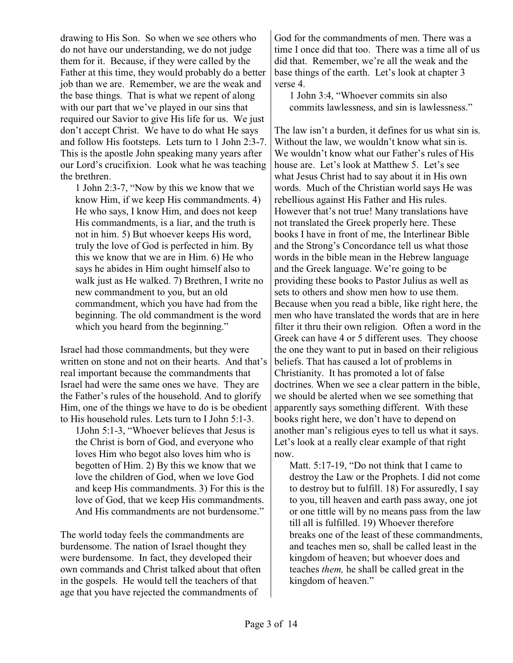drawing to His Son. So when we see others who do not have our understanding, we do not judge them for it. Because, if they were called by the Father at this time, they would probably do a better job than we are. Remember, we are the weak and the base things. That is what we repent of along with our part that we've played in our sins that required our Savior to give His life for us. We just don't accept Christ. We have to do what He says and follow His footsteps. Lets turn to 1 John 2:3-7. This is the apostle John speaking many years after our Lord's crucifixion. Look what he was teaching the brethren.

1 John 2:3-7, "Now by this we know that we know Him, if we keep His commandments. 4) He who says, I know Him, and does not keep His commandments, is a liar, and the truth is not in him. 5) But whoever keeps His word, truly the love of God is perfected in him. By this we know that we are in Him. 6) He who says he abides in Him ought himself also to walk just as He walked. 7) Brethren, I write no new commandment to you, but an old commandment, which you have had from the beginning. The old commandment is the word which you heard from the beginning."

Israel had those commandments, but they were written on stone and not on their hearts. And that's real important because the commandments that Israel had were the same ones we have. They are the Father's rules of the household. And to glorify Him, one of the things we have to do is be obedient to His household rules. Lets turn to I John 5:1-3.

1John 5:1-3, "Whoever believes that Jesus is the Christ is born of God, and everyone who loves Him who begot also loves him who is begotten of Him. 2) By this we know that we love the children of God, when we love God and keep His commandments. 3) For this is the love of God, that we keep His commandments. And His commandments are not burdensome."

The world today feels the commandments are burdensome. The nation of Israel thought they were burdensome. In fact, they developed their own commands and Christ talked about that often in the gospels. He would tell the teachers of that age that you have rejected the commandments of

God for the commandments of men. There was a time I once did that too. There was a time all of us did that. Remember, we're all the weak and the base things of the earth. Let's look at chapter 3 verse 4.

1 John 3:4, "Whoever commits sin also commits lawlessness, and sin is lawlessness."

The law isn't a burden, it defines for us what sin is. Without the law, we wouldn't know what sin is. We wouldn't know what our Father's rules of His house are. Let's look at Matthew 5. Let's see what Jesus Christ had to say about it in His own words. Much of the Christian world says He was rebellious against His Father and His rules. However that's not true! Many translations have not translated the Greek properly here. These books I have in front of me, the Interlinear Bible and the Strong's Concordance tell us what those words in the bible mean in the Hebrew language and the Greek language. We're going to be providing these books to Pastor Julius as well as sets to others and show men how to use them. Because when you read a bible, like right here, the men who have translated the words that are in here filter it thru their own religion. Often a word in the Greek can have 4 or 5 different uses. They choose the one they want to put in based on their religious beliefs. That has caused a lot of problems in Christianity. It has promoted a lot of false doctrines. When we see a clear pattern in the bible, we should be alerted when we see something that apparently says something different. With these books right here, we don't have to depend on another man's religious eyes to tell us what it says. Let's look at a really clear example of that right now.

Matt. 5:17-19, "Do not think that I came to destroy the Law or the Prophets. I did not come to destroy but to fulfill. 18) For assuredly, I say to you, till heaven and earth pass away, one jot or one tittle will by no means pass from the law till all is fulfilled. 19) Whoever therefore breaks one of the least of these commandments, and teaches men so, shall be called least in the kingdom of heaven; but whoever does and teaches *them,* he shall be called great in the kingdom of heaven."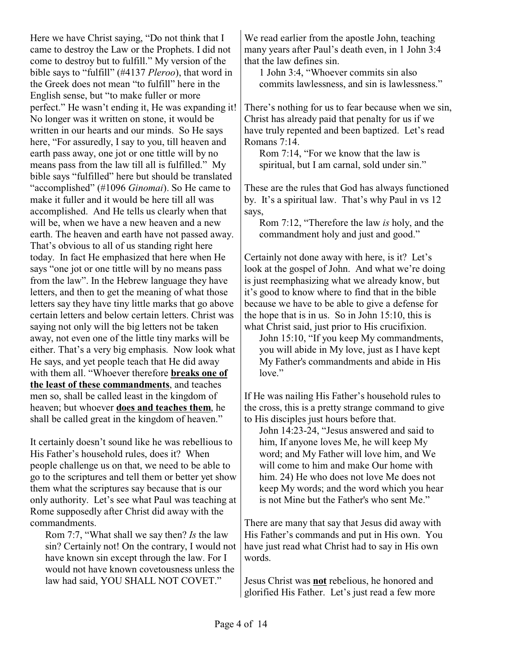Here we have Christ saying, "Do not think that I came to destroy the Law or the Prophets. I did not come to destroy but to fulfill." My version of the bible says to "fulfill" (#4137 *Pleroo*), that word in the Greek does not mean "to fulfill" here in the English sense, but "to make fuller or more perfect." He wasn't ending it, He was expanding it! No longer was it written on stone, it would be written in our hearts and our minds. So He says here, "For assuredly, I say to you, till heaven and earth pass away, one jot or one tittle will by no means pass from the law till all is fulfilled." My bible says "fulfilled" here but should be translated "accomplished" (#1096 *Ginomai*). So He came to make it fuller and it would be here till all was accomplished. And He tells us clearly when that will be, when we have a new heaven and a new earth. The heaven and earth have not passed away. That's obvious to all of us standing right here today. In fact He emphasized that here when He says "one jot or one tittle will by no means pass from the law". In the Hebrew language they have letters, and then to get the meaning of what those letters say they have tiny little marks that go above certain letters and below certain letters. Christ was saying not only will the big letters not be taken away, not even one of the little tiny marks will be either. That's a very big emphasis. Now look what He says, and yet people teach that He did away with them all. "Whoever therefore **breaks one of the least of these commandments**, and teaches men so, shall be called least in the kingdom of heaven; but whoever **does and teaches them**, he shall be called great in the kingdom of heaven."

It certainly doesn't sound like he was rebellious to His Father's household rules, does it? When people challenge us on that, we need to be able to go to the scriptures and tell them or better yet show them what the scriptures say because that is our only authority. Let's see what Paul was teaching at Rome supposedly after Christ did away with the commandments.

Rom 7:7, "What shall we say then? *Is* the law sin? Certainly not! On the contrary, I would not have known sin except through the law. For I would not have known covetousness unless the law had said, YOU SHALL NOT COVET."

We read earlier from the apostle John, teaching many years after Paul's death even, in 1 John 3:4 that the law defines sin.

1 John 3:4, "Whoever commits sin also commits lawlessness, and sin is lawlessness."

There's nothing for us to fear because when we sin, Christ has already paid that penalty for us if we have truly repented and been baptized. Let's read Romans 7:14.

Rom 7:14, "For we know that the law is spiritual, but I am carnal, sold under sin."

These are the rules that God has always functioned by. It's a spiritual law. That's why Paul in vs 12 says,

Rom 7:12, "Therefore the law *is* holy, and the commandment holy and just and good."

Certainly not done away with here, is it? Let's look at the gospel of John. And what we're doing is just reemphasizing what we already know, but it's good to know where to find that in the bible because we have to be able to give a defense for the hope that is in us. So in John 15:10, this is what Christ said, just prior to His crucifixion.

John 15:10, "If you keep My commandments, you will abide in My love, just as I have kept My Father's commandments and abide in His love."

If He was nailing His Father's household rules to the cross, this is a pretty strange command to give to His disciples just hours before that.

John 14:23-24, "Jesus answered and said to him, If anyone loves Me, he will keep My word; and My Father will love him, and We will come to him and make Our home with him. 24) He who does not love Me does not keep My words; and the word which you hear is not Mine but the Father's who sent Me."

There are many that say that Jesus did away with His Father's commands and put in His own. You have just read what Christ had to say in His own words.

Jesus Christ was **not** rebelious, he honored and glorified His Father. Let's just read a few more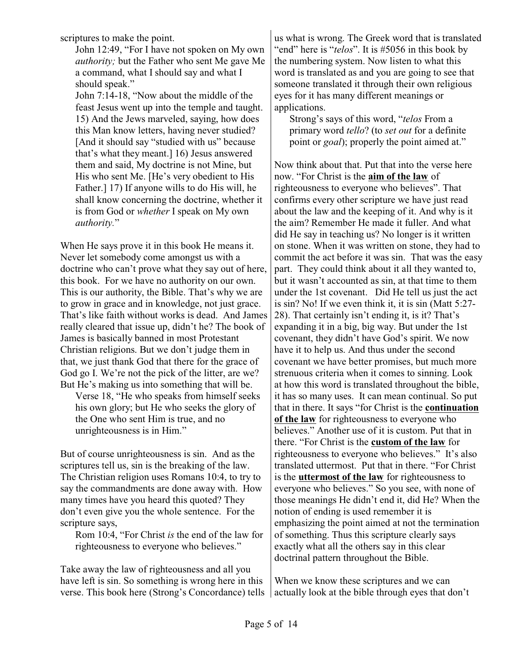scriptures to make the point.

John 12:49, "For I have not spoken on My own *authority;* but the Father who sent Me gave Me a command, what I should say and what I should speak."

John 7:14-18, "Now about the middle of the feast Jesus went up into the temple and taught. 15) And the Jews marveled, saying, how does this Man know letters, having never studied? [And it should say "studied with us" because that's what they meant.] 16) Jesus answered them and said, My doctrine is not Mine, but His who sent Me. [He's very obedient to His Father.] 17) If anyone wills to do His will, he shall know concerning the doctrine, whether it is from God or *whether* I speak on My own *authority.*"

When He says prove it in this book He means it. Never let somebody come amongst us with a doctrine who can't prove what they say out of here, this book. For we have no authority on our own. This is our authority, the Bible. That's why we are to grow in grace and in knowledge, not just grace. That's like faith without works is dead. And James really cleared that issue up, didn't he? The book of James is basically banned in most Protestant Christian religions. But we don't judge them in that, we just thank God that there for the grace of God go I. We're not the pick of the litter, are we? But He's making us into something that will be.

Verse 18, "He who speaks from himself seeks his own glory; but He who seeks the glory of the One who sent Him is true, and no unrighteousness is in Him."

But of course unrighteousness is sin. And as the scriptures tell us, sin is the breaking of the law. The Christian religion uses Romans 10:4, to try to say the commandments are done away with. How many times have you heard this quoted? They don't even give you the whole sentence. For the scripture says,

Rom 10:4, "For Christ *is* the end of the law for righteousness to everyone who believes."

Take away the law of righteousness and all you have left is sin. So something is wrong here in this verse. This book here (Strong's Concordance) tells us what is wrong. The Greek word that is translated "end" here is "*telos*". It is #5056 in this book by the numbering system. Now listen to what this word is translated as and you are going to see that someone translated it through their own religious eyes for it has many different meanings or applications.

Strong's says of this word, "*telos* From a primary word *tello*? (to *set out* for a definite point or *goal*); properly the point aimed at."

Now think about that. Put that into the verse here now. "For Christ is the **aim of the law** of righteousness to everyone who believes". That confirms every other scripture we have just read about the law and the keeping of it. And why is it the aim? Remember He made it fuller. And what did He say in teaching us? No longer is it written on stone. When it was written on stone, they had to commit the act before it was sin. That was the easy part. They could think about it all they wanted to, but it wasn't accounted as sin, at that time to them under the 1st covenant. Did He tell us just the act is sin? No! If we even think it, it is sin (Matt 5:27- 28). That certainly isn't ending it, is it? That's expanding it in a big, big way. But under the 1st covenant, they didn't have God's spirit. We now have it to help us. And thus under the second covenant we have better promises, but much more strenuous criteria when it comes to sinning. Look at how this word is translated throughout the bible, it has so many uses. It can mean continual. So put that in there. It says "for Christ is the **continuation of the law** for righteousness to everyone who believes." Another use of it is custom. Put that in there. "For Christ is the **custom of the law** for righteousness to everyone who believes." It's also translated uttermost. Put that in there. "For Christ is the **uttermost of the law** for righteousness to everyone who believes." So you see, with none of those meanings He didn't end it, did He? When the notion of ending is used remember it is emphasizing the point aimed at not the termination of something. Thus this scripture clearly says exactly what all the others say in this clear doctrinal pattern throughout the Bible.

When we know these scriptures and we can actually look at the bible through eyes that don't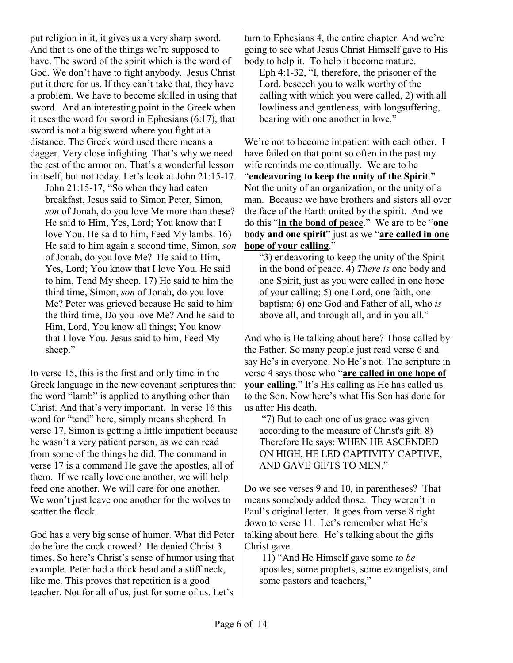And that is one of the things we're supposed to have. The sword of the spirit which is the word of God. We don't have to fight anybody. Jesus Christ put it there for us. If they can't take that, they have a problem. We have to become skilled in using that sword. And an interesting point in the Greek when it uses the word for sword in Ephesians (6:17), that sword is not a big sword where you fight at a distance. The Greek word used there means a dagger. Very close infighting. That's why we need the rest of the armor on. That's a wonderful lesson in itself, but not today. Let's look at John 21:15-17. John 21:15-17, "So when they had eaten

put religion in it, it gives us a very sharp sword.

breakfast, Jesus said to Simon Peter, Simon, *son* of Jonah, do you love Me more than these? He said to Him, Yes, Lord; You know that I love You. He said to him, Feed My lambs. 16) He said to him again a second time, Simon, *son* of Jonah, do you love Me? He said to Him, Yes, Lord; You know that I love You. He said to him, Tend My sheep. 17) He said to him the third time, Simon, *son* of Jonah, do you love Me? Peter was grieved because He said to him the third time, Do you love Me? And he said to Him, Lord, You know all things; You know that I love You. Jesus said to him, Feed My sheep."

In verse 15, this is the first and only time in the Greek language in the new covenant scriptures that the word "lamb" is applied to anything other than Christ. And that's very important. In verse 16 this word for "tend" here, simply means shepherd. In verse 17, Simon is getting a little impatient because he wasn't a very patient person, as we can read from some of the things he did. The command in verse 17 is a command He gave the apostles, all of them. If we really love one another, we will help feed one another. We will care for one another. We won't just leave one another for the wolves to scatter the flock.

God has a very big sense of humor. What did Peter do before the cock crowed? He denied Christ 3 times. So here's Christ's sense of humor using that example. Peter had a thick head and a stiff neck, like me. This proves that repetition is a good teacher. Not for all of us, just for some of us. Let's

turn to Ephesians 4, the entire chapter. And we're going to see what Jesus Christ Himself gave to His body to help it. To help it become mature.

Eph 4:1-32, "I, therefore, the prisoner of the Lord, beseech you to walk worthy of the calling with which you were called, 2) with all lowliness and gentleness, with longsuffering, bearing with one another in love,"

We're not to become impatient with each other. I have failed on that point so often in the past my wife reminds me continually. We are to be "**endeavoring to keep the unity of the Spirit**." Not the unity of an organization, or the unity of a man. Because we have brothers and sisters all over the face of the Earth united by the spirit. And we do this "**in the bond of peace**." We are to be "**one body and one spirit**" just as we "**are called in one hope of your calling**."

"3) endeavoring to keep the unity of the Spirit in the bond of peace. 4) *There is* one body and one Spirit, just as you were called in one hope of your calling; 5) one Lord, one faith, one baptism; 6) one God and Father of all, who *is* above all, and through all, and in you all."

And who is He talking about here? Those called by the Father. So many people just read verse 6 and say He's in everyone. No He's not. The scripture in verse 4 says those who "**are called in one hope of your calling**." It's His calling as He has called us to the Son. Now here's what His Son has done for us after His death.

 "7) But to each one of us grace was given according to the measure of Christ's gift. 8) Therefore He says: WHEN HE ASCENDED ON HIGH, HE LED CAPTIVITY CAPTIVE, AND GAVE GIFTS TO MEN."

Do we see verses 9 and 10, in parentheses? That means somebody added those. They weren't in Paul's original letter. It goes from verse 8 right down to verse 11. Let's remember what He's talking about here. He's talking about the gifts Christ gave.

 11) "And He Himself gave some *to be* apostles, some prophets, some evangelists, and some pastors and teachers,"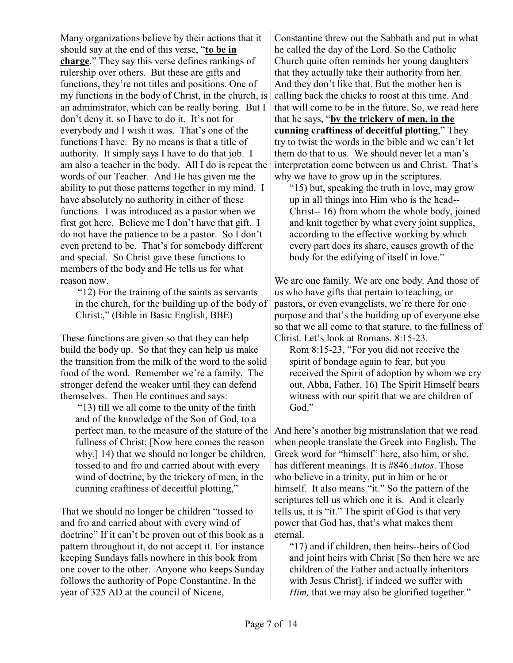Many organizations believe by their actions that it should say at the end of this verse, "**to be in charge**." They say this verse defines rankings of rulership over others. But these are gifts and functions, they're not titles and positions. One of my functions in the body of Christ, in the church, is an administrator, which can be really boring. But I don't deny it, so I have to do it. It's not for everybody and I wish it was. That's one of the functions I have. By no means is that a title of authority. It simply says I have to do that job. I am also a teacher in the body. All I do is repeat the words of our Teacher. And He has given me the ability to put those patterns together in my mind. I have absolutely no authority in either of these functions. I was introduced as a pastor when we first got here. Believe me I don't have that gift. I do not have the patience to be a pastor. So I don't even pretend to be. That's for somebody different and special. So Christ gave these functions to members of the body and He tells us for what reason now.

 "12) For the training of the saints as servants in the church, for the building up of the body of Christ:," (Bible in Basic English, BBE)

These functions are given so that they can help build the body up. So that they can help us make the transition from the milk of the word to the solid food of the word. Remember we're a family. The stronger defend the weaker until they can defend themselves. Then He continues and says:

 "13) till we all come to the unity of the faith and of the knowledge of the Son of God, to a perfect man, to the measure of the stature of the fullness of Christ; [Now here comes the reason why.] 14) that we should no longer be children, tossed to and fro and carried about with every wind of doctrine, by the trickery of men, in the cunning craftiness of deceitful plotting,"

That we should no longer be children "tossed to and fro and carried about with every wind of doctrine" If it can't be proven out of this book as a pattern throughout it, do not accept it. For instance keeping Sundays falls nowhere in this book from one cover to the other. Anyone who keeps Sunday follows the authority of Pope Constantine. In the year of 325 AD at the council of Nicene,

Constantine threw out the Sabbath and put in what he called the day of the Lord. So the Catholic Church quite often reminds her young daughters that they actually take their authority from her. And they don't like that. But the mother hen is calling back the chicks to roost at this time. And that will come to be in the future. So, we read here that he says, "**by the trickery of men, in the cunning craftiness of deceitful plotting**," They try to twist the words in the bible and we can't let them do that to us. We should never let a man's interpretation come between us and Christ. That's why we have to grow up in the scriptures.

"15) but, speaking the truth in love, may grow up in all things into Him who is the head-- Christ-- 16) from whom the whole body, joined and knit together by what every joint supplies, according to the effective working by which every part does its share, causes growth of the body for the edifying of itself in love."

We are one family. We are one body. And those of us who have gifts that pertain to teaching, or pastors, or even evangelists, we're there for one purpose and that's the building up of everyone else so that we all come to that stature, to the fullness of Christ. Let's look at Romans. 8:15-23.

Rom 8:15-23, "For you did not receive the spirit of bondage again to fear, but you received the Spirit of adoption by whom we cry out, Abba, Father. 16) The Spirit Himself bears witness with our spirit that we are children of God,"

And here's another big mistranslation that we read when people translate the Greek into English. The Greek word for "himself" here, also him, or she, has different meanings. It is #846 *Autos*. Those who believe in a trinity, put in him or he or himself. It also means "it." So the pattern of the scriptures tell us which one it is. And it clearly tells us, it is "it." The spirit of God is that very power that God has, that's what makes them eternal.

"17) and if children, then heirs--heirs of God and joint heirs with Christ [So then here we are children of the Father and actually inheritors with Jesus Christ], if indeed we suffer with *Him*, that we may also be glorified together."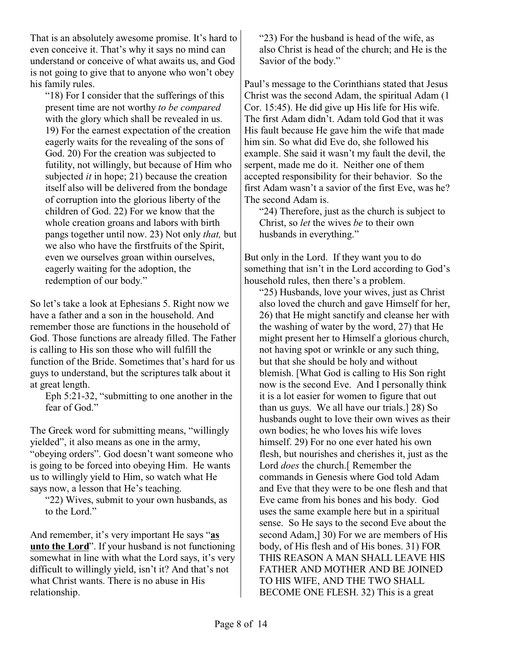That is an absolutely awesome promise. It's hard to even conceive it. That's why it says no mind can understand or conceive of what awaits us, and God is not going to give that to anyone who won't obey his family rules.

"18) For I consider that the sufferings of this present time are not worthy *to be compared* with the glory which shall be revealed in us. 19) For the earnest expectation of the creation eagerly waits for the revealing of the sons of God. 20) For the creation was subjected to futility, not willingly, but because of Him who subjected *it* in hope; 21) because the creation itself also will be delivered from the bondage of corruption into the glorious liberty of the children of God. 22) For we know that the whole creation groans and labors with birth pangs together until now. 23) Not only *that,* but we also who have the firstfruits of the Spirit, even we ourselves groan within ourselves, eagerly waiting for the adoption, the redemption of our body."

So let's take a look at Ephesians 5. Right now we have a father and a son in the household. And remember those are functions in the household of God. Those functions are already filled. The Father is calling to His son those who will fulfill the function of the Bride. Sometimes that's hard for us guys to understand, but the scriptures talk about it at great length.

Eph 5:21-32, "submitting to one another in the fear of God."

The Greek word for submitting means, "willingly yielded", it also means as one in the army, "obeying orders". God doesn't want someone who is going to be forced into obeying Him. He wants us to willingly yield to Him, so watch what He says now, a lesson that He's teaching.

"22) Wives, submit to your own husbands, as to the Lord."

And remember, it's very important He says "**as unto the Lord**". If your husband is not functioning somewhat in line with what the Lord says, it's very difficult to willingly yield, isn't it? And that's not what Christ wants. There is no abuse in His relationship.

"23) For the husband is head of the wife, as also Christ is head of the church; and He is the Savior of the body."

Paul's message to the Corinthians stated that Jesus Christ was the second Adam, the spiritual Adam (1 Cor. 15:45). He did give up His life for His wife. The first Adam didn't. Adam told God that it was His fault because He gave him the wife that made him sin. So what did Eve do, she followed his example. She said it wasn't my fault the devil, the serpent, made me do it. Neither one of them accepted responsibility for their behavior. So the first Adam wasn't a savior of the first Eve, was he? The second Adam is.

"24) Therefore, just as the church is subject to Christ, so *let* the wives *be* to their own husbands in everything."

But only in the Lord. If they want you to do something that isn't in the Lord according to God's household rules, then there's a problem.

"25) Husbands, love your wives, just as Christ also loved the church and gave Himself for her, 26) that He might sanctify and cleanse her with the washing of water by the word, 27) that He might present her to Himself a glorious church, not having spot or wrinkle or any such thing, but that she should be holy and without blemish. [What God is calling to His Son right now is the second Eve. And I personally think it is a lot easier for women to figure that out than us guys. We all have our trials.] 28) So husbands ought to love their own wives as their own bodies; he who loves his wife loves himself. 29) For no one ever hated his own flesh, but nourishes and cherishes it, just as the Lord *does* the church.[ Remember the commands in Genesis where God told Adam and Eve that they were to be one flesh and that Eve came from his bones and his body. God uses the same example here but in a spiritual sense. So He says to the second Eve about the second Adam, 30) For we are members of His body, of His flesh and of His bones. 31) FOR THIS REASON A MAN SHALL LEAVE HIS FATHER AND MOTHER AND BE JOINED TO HIS WIFE, AND THE TWO SHALL BECOME ONE FLESH. 32) This is a great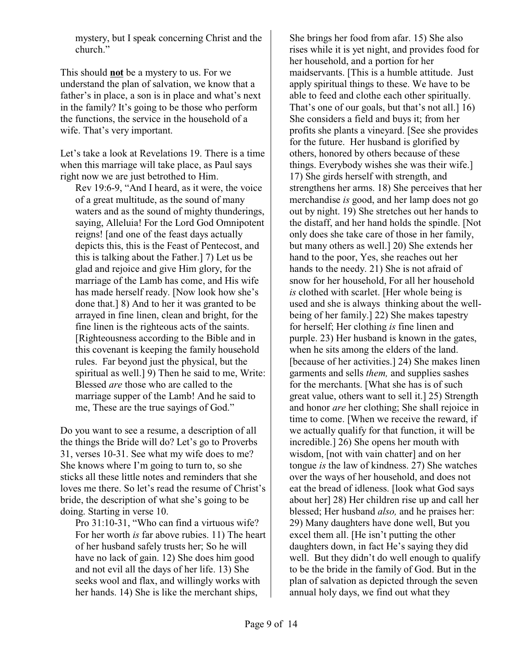mystery, but I speak concerning Christ and the church."

This should **not** be a mystery to us. For we understand the plan of salvation, we know that a father's in place, a son is in place and what's next in the family? It's going to be those who perform the functions, the service in the household of a wife. That's very important.

Let's take a look at Revelations 19. There is a time when this marriage will take place, as Paul says right now we are just betrothed to Him.

Rev 19:6-9, "And I heard, as it were, the voice of a great multitude, as the sound of many waters and as the sound of mighty thunderings, saying, Alleluia! For the Lord God Omnipotent reigns! [and one of the feast days actually depicts this, this is the Feast of Pentecost, and this is talking about the Father.] 7) Let us be glad and rejoice and give Him glory, for the marriage of the Lamb has come, and His wife has made herself ready. [Now look how she's done that.] 8) And to her it was granted to be arrayed in fine linen, clean and bright, for the fine linen is the righteous acts of the saints. [Righteousness according to the Bible and in this covenant is keeping the family household rules. Far beyond just the physical, but the spiritual as well.] 9) Then he said to me, Write: Blessed *are* those who are called to the marriage supper of the Lamb! And he said to me, These are the true sayings of God."

Do you want to see a resume, a description of all the things the Bride will do? Let's go to Proverbs 31, verses 10-31. See what my wife does to me? She knows where I'm going to turn to, so she sticks all these little notes and reminders that she loves me there. So let's read the resume of Christ's bride, the description of what she's going to be doing. Starting in verse 10.

Pro 31:10-31, "Who can find a virtuous wife? For her worth *is* far above rubies. 11) The heart of her husband safely trusts her; So he will have no lack of gain. 12) She does him good and not evil all the days of her life. 13) She seeks wool and flax, and willingly works with her hands. 14) She is like the merchant ships,

She brings her food from afar. 15) She also rises while it is yet night, and provides food for her household, and a portion for her maidservants. [This is a humble attitude. Just apply spiritual things to these. We have to be able to feed and clothe each other spiritually. That's one of our goals, but that's not all.] 16) She considers a field and buys it; from her profits she plants a vineyard. [See she provides for the future. Her husband is glorified by others, honored by others because of these things. Everybody wishes she was their wife.] 17) She girds herself with strength, and strengthens her arms. 18) She perceives that her merchandise *is* good, and her lamp does not go out by night. 19) She stretches out her hands to the distaff, and her hand holds the spindle. [Not only does she take care of those in her family, but many others as well.] 20) She extends her hand to the poor, Yes, she reaches out her hands to the needy. 21) She is not afraid of snow for her household, For all her household *is* clothed with scarlet. [Her whole being is used and she is always thinking about the wellbeing of her family.] 22) She makes tapestry for herself; Her clothing *is* fine linen and purple. 23) Her husband is known in the gates, when he sits among the elders of the land. [because of her activities.] 24) She makes linen garments and sells *them,* and supplies sashes for the merchants. [What she has is of such great value, others want to sell it.] 25) Strength and honor *are* her clothing; She shall rejoice in time to come. [When we receive the reward, if we actually qualify for that function, it will be incredible.] 26) She opens her mouth with wisdom, [not with vain chatter] and on her tongue *is* the law of kindness. 27) She watches over the ways of her household, and does not eat the bread of idleness. [look what God says about her] 28) Her children rise up and call her blessed; Her husband *also,* and he praises her: 29) Many daughters have done well, But you excel them all. [He isn't putting the other daughters down, in fact He's saying they did well. But they didn't do well enough to qualify to be the bride in the family of God. But in the plan of salvation as depicted through the seven annual holy days, we find out what they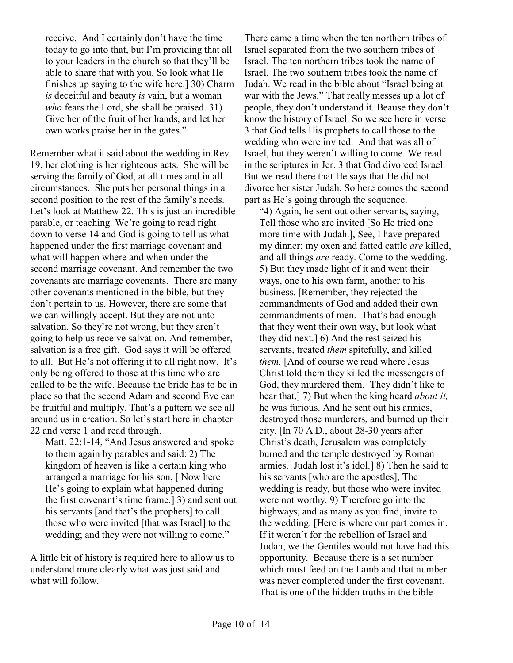receive. And I certainly don't have the time today to go into that, but I'm providing that all to your leaders in the church so that they'll be able to share that with you. So look what He finishes up saying to the wife here.] 30) Charm *is* deceitful and beauty *is* vain, but a woman *who* fears the Lord, she shall be praised. 31) Give her of the fruit of her hands, and let her own works praise her in the gates."

Remember what it said about the wedding in Rev. 19, her clothing is her righteous acts. She will be serving the family of God, at all times and in all circumstances. She puts her personal things in a second position to the rest of the family's needs. Let's look at Matthew 22. This is just an incredible parable, or teaching. We're going to read right down to verse 14 and God is going to tell us what happened under the first marriage covenant and what will happen where and when under the second marriage covenant. And remember the two covenants are marriage covenants. There are many other covenants mentioned in the bible, but they don't pertain to us. However, there are some that we can willingly accept. But they are not unto salvation. So they're not wrong, but they aren't going to help us receive salvation. And remember, salvation is a free gift. God says it will be offered to all. But He's not offering it to all right now. It's only being offered to those at this time who are called to be the wife. Because the bride has to be in place so that the second Adam and second Eve can be fruitful and multiply. That's a pattern we see all around us in creation. So let's start here in chapter 22 and verse 1 and read through.

Matt. 22:1-14, "And Jesus answered and spoke to them again by parables and said: 2) The kingdom of heaven is like a certain king who arranged a marriage for his son, [ Now here He's going to explain what happened during the first covenant's time frame.] 3) and sent out his servants [and that's the prophets] to call those who were invited [that was Israel] to the wedding; and they were not willing to come."

A little bit of history is required here to allow us to understand more clearly what was just said and what will follow.

There came a time when the ten northern tribes of Israel separated from the two southern tribes of Israel. The ten northern tribes took the name of Israel. The two southern tribes took the name of Judah. We read in the bible about "Israel being at war with the Jews." That really messes up a lot of people, they don't understand it. Beause they don't know the history of Israel. So we see here in verse 3 that God tells His prophets to call those to the wedding who were invited. And that was all of Israel, but they weren't willing to come. We read in the scriptures in Jer. 3 that God divorced Israel. But we read there that He says that He did not divorce her sister Judah. So here comes the second part as He's going through the sequence.

"4) Again, he sent out other servants, saying, Tell those who are invited [So He tried one more time with Judah.], See, I have prepared my dinner; my oxen and fatted cattle *are* killed, and all things *are* ready. Come to the wedding. 5) But they made light of it and went their ways, one to his own farm, another to his business. [Remember, they rejected the commandments of God and added their own commandments of men. That's bad enough that they went their own way, but look what they did next.] 6) And the rest seized his servants, treated *them* spitefully, and killed *them.* [And of course we read where Jesus Christ told them they killed the messengers of God, they murdered them. They didn't like to hear that.] 7) But when the king heard *about it,* he was furious. And he sent out his armies, destroyed those murderers, and burned up their city. [In 70 A.D., about 28-30 years after Christ's death, Jerusalem was completely burned and the temple destroyed by Roman armies. Judah lost it's idol.] 8) Then he said to his servants [who are the apostles], The wedding is ready, but those who were invited were not worthy. 9) Therefore go into the highways, and as many as you find, invite to the wedding. [Here is where our part comes in. If it weren't for the rebellion of Israel and Judah, we the Gentiles would not have had this opportunity. Because there is a set number which must feed on the Lamb and that number was never completed under the first covenant. That is one of the hidden truths in the bible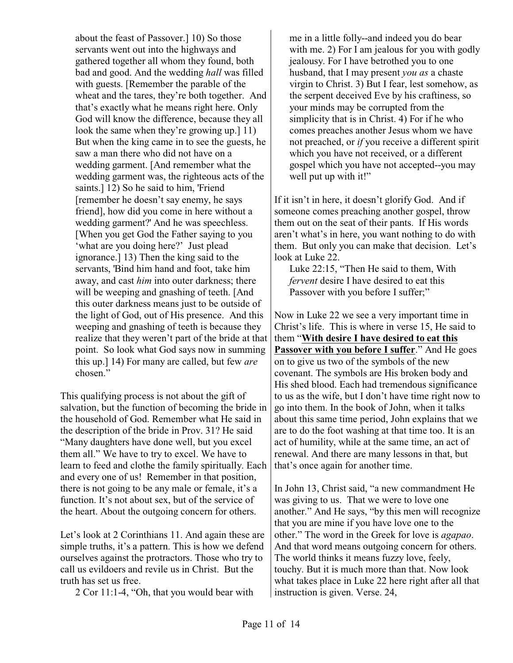about the feast of Passover.] 10) So those servants went out into the highways and gathered together all whom they found, both bad and good. And the wedding *hall* was filled with guests. [Remember the parable of the wheat and the tares, they're both together. And that's exactly what he means right here. Only God will know the difference, because they all look the same when they're growing up.] 11) But when the king came in to see the guests, he saw a man there who did not have on a wedding garment. [And remember what the wedding garment was, the righteous acts of the saints.] 12) So he said to him, 'Friend [remember he doesn't say enemy, he says friend], how did you come in here without a wedding garment?' And he was speechless. [When you get God the Father saying to you 'what are you doing here?' Just plead ignorance.] 13) Then the king said to the servants, 'Bind him hand and foot, take him away, and cast *him* into outer darkness; there will be weeping and gnashing of teeth. [And] this outer darkness means just to be outside of the light of God, out of His presence. And this weeping and gnashing of teeth is because they realize that they weren't part of the bride at that point. So look what God says now in summing this up.] 14) For many are called, but few *are* chosen."

This qualifying process is not about the gift of salvation, but the function of becoming the bride in the household of God. Remember what He said in the description of the bride in Prov. 31? He said "Many daughters have done well, but you excel them all." We have to try to excel. We have to learn to feed and clothe the family spiritually. Each and every one of us! Remember in that position, there is not going to be any male or female, it's a function. It's not about sex, but of the service of the heart. About the outgoing concern for others.

Let's look at 2 Corinthians 11. And again these are simple truths, it's a pattern. This is how we defend ourselves against the protractors. Those who try to call us evildoers and revile us in Christ. But the truth has set us free.

2 Cor 11:1-4, "Oh, that you would bear with

me in a little folly--and indeed you do bear with me. 2) For I am jealous for you with godly jealousy. For I have betrothed you to one husband, that I may present *you as* a chaste virgin to Christ. 3) But I fear, lest somehow, as the serpent deceived Eve by his craftiness, so your minds may be corrupted from the simplicity that is in Christ. 4) For if he who comes preaches another Jesus whom we have not preached, or *if* you receive a different spirit which you have not received, or a different gospel which you have not accepted--you may well put up with it!"

If it isn't in here, it doesn't glorify God. And if someone comes preaching another gospel, throw them out on the seat of their pants. If His words aren't what's in here, you want nothing to do with them. But only you can make that decision. Let's look at Luke 22.

Luke 22:15, "Then He said to them, With *fervent* desire I have desired to eat this Passover with you before I suffer;"

Now in Luke 22 we see a very important time in Christ's life. This is where in verse 15, He said to them "**With desire I have desired to eat this Passover with you before I suffer**." And He goes on to give us two of the symbols of the new covenant. The symbols are His broken body and His shed blood. Each had tremendous significance to us as the wife, but I don't have time right now to go into them. In the book of John, when it talks about this same time period, John explains that we are to do the foot washing at that time too. It is an act of humility, while at the same time, an act of renewal. And there are many lessons in that, but that's once again for another time.

In John 13, Christ said, "a new commandment He was giving to us. That we were to love one another." And He says, "by this men will recognize that you are mine if you have love one to the other." The word in the Greek for love is *agapao*. And that word means outgoing concern for others. The world thinks it means fuzzy love, feely, touchy. But it is much more than that. Now look what takes place in Luke 22 here right after all that instruction is given. Verse. 24,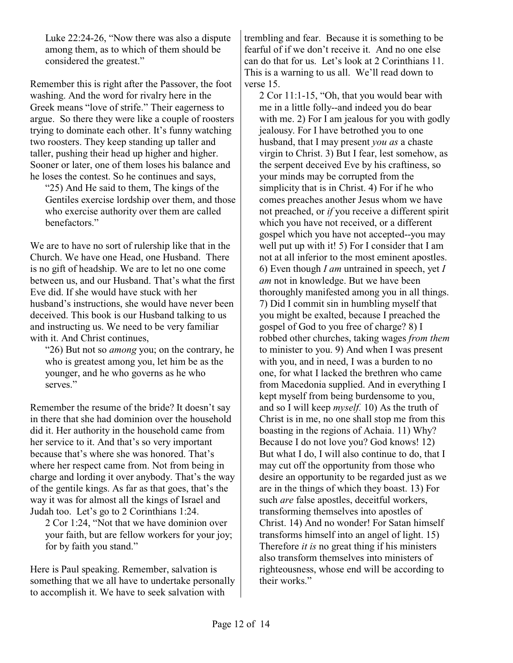Luke 22:24-26, "Now there was also a dispute among them, as to which of them should be considered the greatest."

Remember this is right after the Passover, the foot washing. And the word for rivalry here in the Greek means "love of strife." Their eagerness to argue. So there they were like a couple of roosters trying to dominate each other. It's funny watching two roosters. They keep standing up taller and taller, pushing their head up higher and higher. Sooner or later, one of them loses his balance and he loses the contest. So he continues and says,

"25) And He said to them, The kings of the Gentiles exercise lordship over them, and those who exercise authority over them are called benefactors."

We are to have no sort of rulership like that in the Church. We have one Head, one Husband. There is no gift of headship. We are to let no one come between us, and our Husband. That's what the first Eve did. If she would have stuck with her husband's instructions, she would have never been deceived. This book is our Husband talking to us and instructing us. We need to be very familiar with it. And Christ continues,

"26) But not so *among* you; on the contrary, he who is greatest among you, let him be as the younger, and he who governs as he who serves."

Remember the resume of the bride? It doesn't say in there that she had dominion over the household did it. Her authority in the household came from her service to it. And that's so very important because that's where she was honored. That's where her respect came from. Not from being in charge and lording it over anybody. That's the way of the gentile kings. As far as that goes, that's the way it was for almost all the kings of Israel and Judah too. Let's go to 2 Corinthians 1:24.

2 Cor 1:24, "Not that we have dominion over your faith, but are fellow workers for your joy; for by faith you stand."

Here is Paul speaking. Remember, salvation is something that we all have to undertake personally to accomplish it. We have to seek salvation with

trembling and fear. Because it is something to be fearful of if we don't receive it. And no one else can do that for us. Let's look at 2 Corinthians 11. This is a warning to us all. We'll read down to verse 15.

2 Cor 11:1-15, "Oh, that you would bear with me in a little folly--and indeed you do bear with me. 2) For I am jealous for you with godly jealousy. For I have betrothed you to one husband, that I may present *you as* a chaste virgin to Christ. 3) But I fear, lest somehow, as the serpent deceived Eve by his craftiness, so your minds may be corrupted from the simplicity that is in Christ. 4) For if he who comes preaches another Jesus whom we have not preached, or *if* you receive a different spirit which you have not received, or a different gospel which you have not accepted--you may well put up with it! 5) For I consider that I am not at all inferior to the most eminent apostles. 6) Even though *I am* untrained in speech, yet *I am* not in knowledge. But we have been thoroughly manifested among you in all things. 7) Did I commit sin in humbling myself that you might be exalted, because I preached the gospel of God to you free of charge? 8) I robbed other churches, taking wages *from them* to minister to you. 9) And when I was present with you, and in need, I was a burden to no one, for what I lacked the brethren who came from Macedonia supplied. And in everything I kept myself from being burdensome to you, and so I will keep *myself.* 10) As the truth of Christ is in me, no one shall stop me from this boasting in the regions of Achaia. 11) Why? Because I do not love you? God knows! 12) But what I do, I will also continue to do, that I may cut off the opportunity from those who desire an opportunity to be regarded just as we are in the things of which they boast. 13) For such *are* false apostles, deceitful workers, transforming themselves into apostles of Christ. 14) And no wonder! For Satan himself transforms himself into an angel of light. 15) Therefore *it is* no great thing if his ministers also transform themselves into ministers of righteousness, whose end will be according to their works."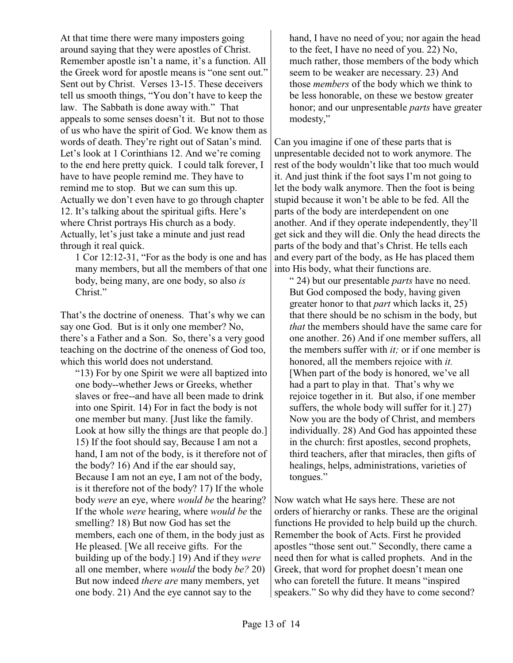At that time there were many imposters going around saying that they were apostles of Christ. Remember apostle isn't a name, it's a function. All the Greek word for apostle means is "one sent out." Sent out by Christ. Verses 13-15. These deceivers tell us smooth things, "You don't have to keep the law. The Sabbath is done away with." That appeals to some senses doesn't it. But not to those of us who have the spirit of God. We know them as words of death. They're right out of Satan's mind. Let's look at 1 Corinthians 12. And we're coming to the end here pretty quick. I could talk forever, I have to have people remind me. They have to remind me to stop. But we can sum this up. Actually we don't even have to go through chapter 12. It's talking about the spiritual gifts. Here's where Christ portrays His church as a body. Actually, let's just take a minute and just read through it real quick.

1 Cor 12:12-31, "For as the body is one and has many members, but all the members of that one body, being many, are one body, so also *is* Christ."

That's the doctrine of oneness. That's why we can say one God. But is it only one member? No, there's a Father and a Son. So, there's a very good teaching on the doctrine of the oneness of God too, which this world does not understand.

"13) For by one Spirit we were all baptized into one body--whether Jews or Greeks, whether slaves or free--and have all been made to drink into one Spirit. 14) For in fact the body is not one member but many. [Just like the family. Look at how silly the things are that people do.] 15) If the foot should say, Because I am not a hand, I am not of the body, is it therefore not of the body? 16) And if the ear should say, Because I am not an eye, I am not of the body, is it therefore not of the body? 17) If the whole body *were* an eye, where *would be* the hearing? If the whole *were* hearing, where *would be* the smelling? 18) But now God has set the members, each one of them, in the body just as He pleased. [We all receive gifts. For the building up of the body.] 19) And if they *were* all one member, where *would* the body *be?* 20) But now indeed *there are* many members, yet one body. 21) And the eye cannot say to the

hand, I have no need of you; nor again the head to the feet, I have no need of you. 22) No, much rather, those members of the body which seem to be weaker are necessary. 23) And those *members* of the body which we think to be less honorable, on these we bestow greater honor; and our unpresentable *parts* have greater modesty,"

Can you imagine if one of these parts that is unpresentable decided not to work anymore. The rest of the body wouldn't like that too much would it. And just think if the foot says I'm not going to let the body walk anymore. Then the foot is being stupid because it won't be able to be fed. All the parts of the body are interdependent on one another. And if they operate independently, they'll get sick and they will die. Only the head directs the parts of the body and that's Christ. He tells each and every part of the body, as He has placed them into His body, what their functions are.

" 24) but our presentable *parts* have no need. But God composed the body, having given greater honor to that *part* which lacks it, 25) that there should be no schism in the body, but *that* the members should have the same care for one another. 26) And if one member suffers, all the members suffer with *it;* or if one member is honored, all the members rejoice with *it.* [When part of the body is honored, we've all had a part to play in that. That's why we rejoice together in it. But also, if one member suffers, the whole body will suffer for it.] 27) Now you are the body of Christ, and members individually. 28) And God has appointed these in the church: first apostles, second prophets, third teachers, after that miracles, then gifts of healings, helps, administrations, varieties of tongues."

Now watch what He says here. These are not orders of hierarchy or ranks. These are the original functions He provided to help build up the church. Remember the book of Acts. First he provided apostles "those sent out." Secondly, there came a need then for what is called prophets. And in the Greek, that word for prophet doesn't mean one who can foretell the future. It means "inspired speakers." So why did they have to come second?